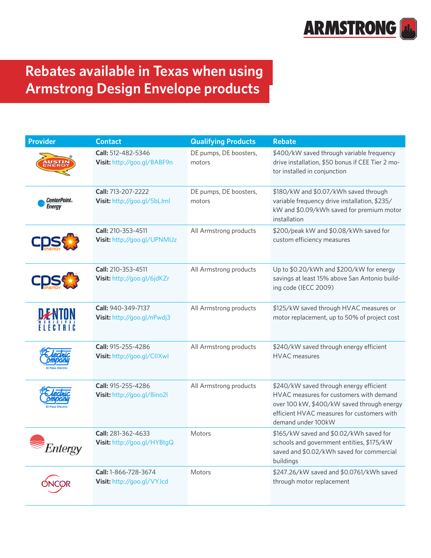

## **Rebates available in Texas when using Armstrong Design Envelope products**

| <b>Provider</b>                       | <b>Contact</b>                                     | <b>Qualifying Products</b>       | <b>Rebate</b>                                                                                                                                                                                        |
|---------------------------------------|----------------------------------------------------|----------------------------------|------------------------------------------------------------------------------------------------------------------------------------------------------------------------------------------------------|
|                                       | Call: 512-482-5346<br>Visit: http://goo.gl/BABF9n  | DE pumps, DE boosters,<br>motors | \$400/kW saved through variable frequency<br>drive installation, \$50 bonus if CEE Tier 2 mo-<br>tor installed in conjunction                                                                        |
| <b>CenterPoint</b> ®<br><b>Energy</b> | Call: 713-207-2222<br>Visit: http://goo.gl/5bLJml  | DE pumps, DE boosters,<br>motors | \$180/kW and \$0.07/kWh saved through<br>variable frequency drive installation, \$235/<br>kW and \$0.09/kWh saved for premium motor<br>installation                                                  |
|                                       | Call: 210-353-4511<br>Visit: http://goo.gl/UPNMUz  | All Armstrong products           | \$200/peak kW and \$0.08/kWh saved for<br>custom efficiency measures                                                                                                                                 |
|                                       | Call: 210-353-4511<br>Visit: http://goo.gl/6jdKZr  | All Armstrong products           | Up to \$0.20/kWh and \$200/kW for energy<br>savings at least 15% above San Antonio build-<br>ing code (IECC 2009)                                                                                    |
|                                       | Call: 940-349-7137<br>Visit: http://goo.gl/nPwdj3  | All Armstrong products           | \$125/kW saved through HVAC measures or<br>motor replacement, up to 50% of project cost                                                                                                              |
|                                       | Call: 915-255-4286<br>Visit: http://goo.gl/CllXwl  | All Armstrong products           | \$240/kW saved through energy efficient<br><b>HVAC</b> measures                                                                                                                                      |
|                                       | Call: 915-255-4286<br>Visit: http://goo.gl/8ino2l  | All Armstrong products           | \$240/kW saved through energy efficient<br>HVAC measures for customers with demand<br>over 100 kW, \$400/kW saved through energy<br>efficient HVAC measures for customers with<br>demand under 100kW |
| Entergy                               | Call: 281-362-4633<br>Visit: http://goo.gl/HYBtgQ  | Motors                           | \$165/kW saved and \$0.02/kWh saved for<br>schools and government entities, \$175/kW<br>saved and \$0.02/kWh saved for commercial<br>buildings                                                       |
|                                       | Call: 1-866-728-3674<br>Visit: http://goo.gl/VYJcd | Motors                           | \$247.26/kW saved and \$0.0761/kWh saved<br>through motor replacement                                                                                                                                |